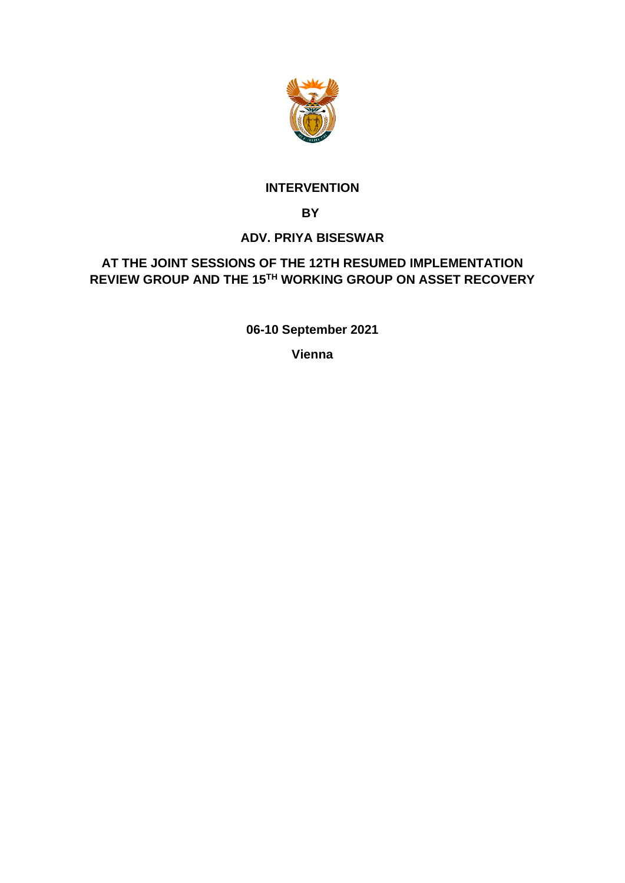

### **INTERVENTION**

 **BY**

### **ADV. PRIYA BISESWAR**

## **AT THE JOINT SESSIONS OF THE 12TH RESUMED IMPLEMENTATION REVIEW GROUP AND THE 15TH WORKING GROUP ON ASSET RECOVERY**

**06-10 September 2021** 

**Vienna**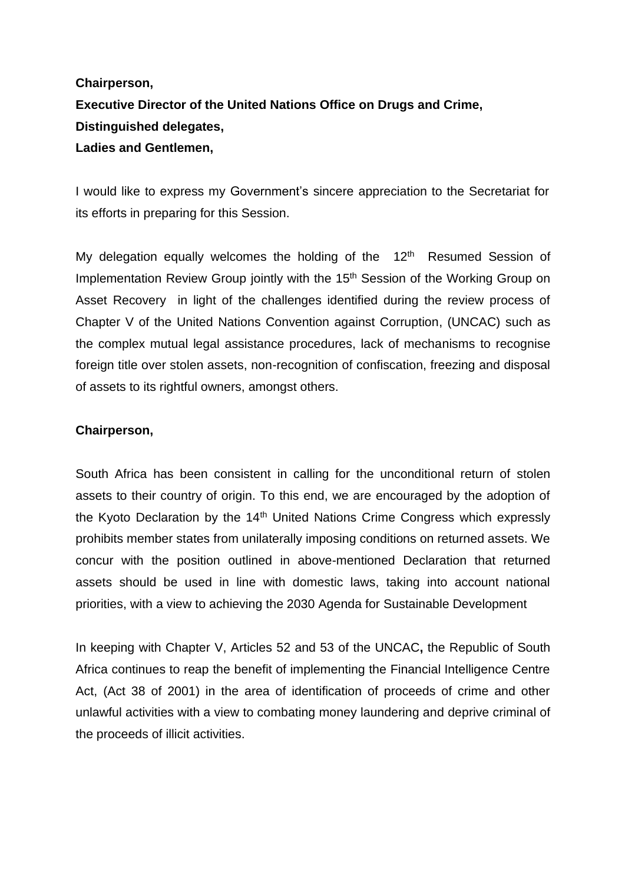# **Chairperson, Executive Director of the United Nations Office on Drugs and Crime, Distinguished delegates, Ladies and Gentlemen,**

I would like to express my Government's sincere appreciation to the Secretariat for its efforts in preparing for this Session.

My delegation equally welcomes the holding of the  $12<sup>th</sup>$  Resumed Session of Implementation Review Group jointly with the 15<sup>th</sup> Session of the Working Group on Asset Recovery in light of the challenges identified during the review process of Chapter V of the United Nations Convention against Corruption, (UNCAC) such as the complex mutual legal assistance procedures, lack of mechanisms to recognise foreign title over stolen assets, non-recognition of confiscation, freezing and disposal of assets to its rightful owners, amongst others.

### **Chairperson,**

South Africa has been consistent in calling for the unconditional return of stolen assets to their country of origin. To this end, we are encouraged by the adoption of the Kyoto Declaration by the  $14<sup>th</sup>$  United Nations Crime Congress which expressly prohibits member states from unilaterally imposing conditions on returned assets. We concur with the position outlined in above-mentioned Declaration that returned assets should be used in line with domestic laws, taking into account national priorities, with a view to achieving the 2030 Agenda for Sustainable Development

In keeping with Chapter V, Articles 52 and 53 of the UNCAC**,** the Republic of South Africa continues to reap the benefit of implementing the Financial Intelligence Centre Act, (Act 38 of 2001) in the area of identification of proceeds of crime and other unlawful activities with a view to combating money laundering and deprive criminal of the proceeds of illicit activities.